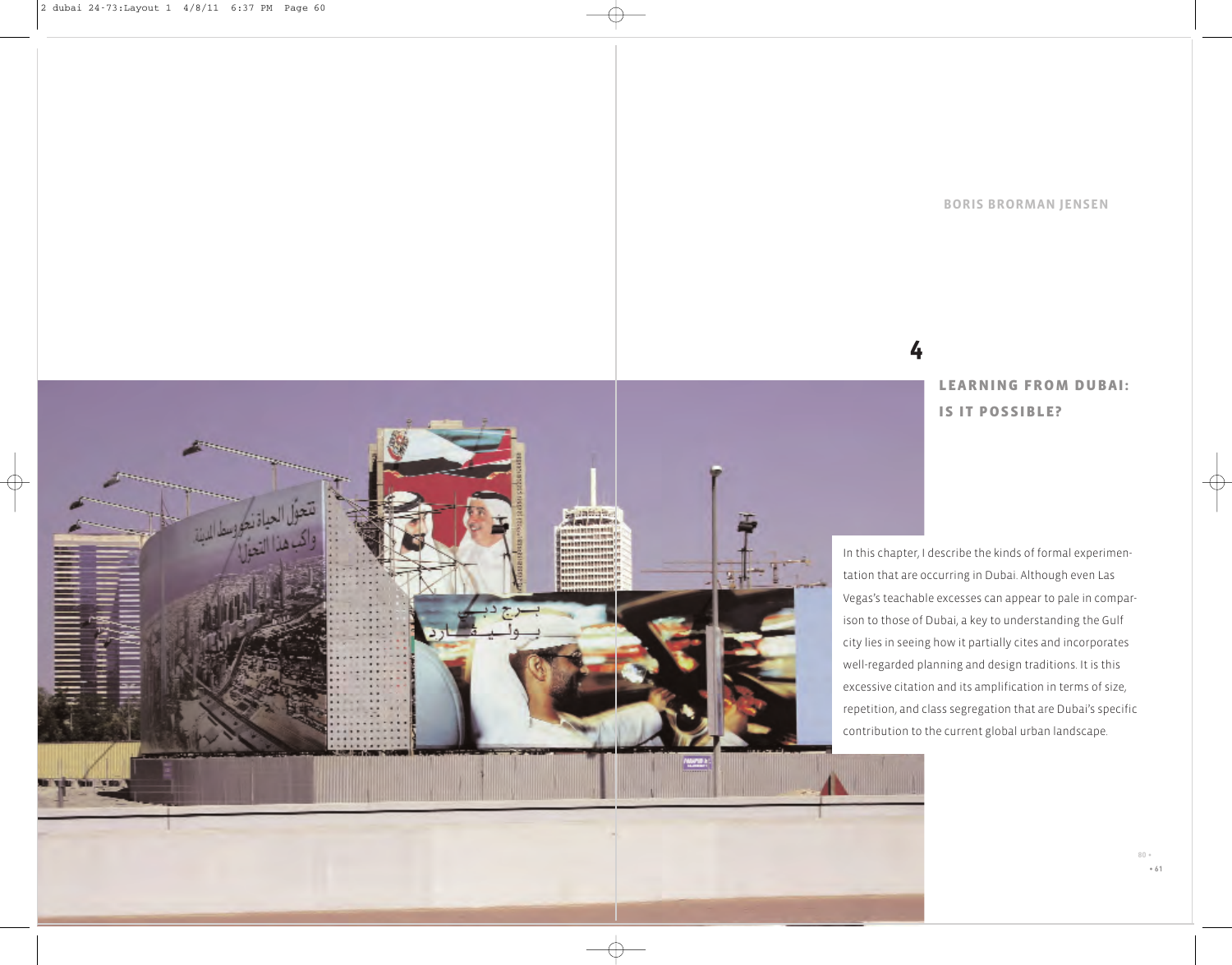**BORIS BRORMAN JENSEN**

# **4**

# **LEARNING FROM DUBAI: IS IT POSSIBLE?**

In this chapter, I describe the kinds of formal experimentation that are occurring in Dubai. Although even Las Vegas's teachable excesses can appear to pale in comparison to those of Dubai, a key to understanding the Gulf city lies in seeing how it partially cites and incorporates well-regarded planning and design traditions. It is this excessive citation and its amplification in terms of size, repetition, and class segregation that are Dubai's specific contribution to the current global urban landscape.

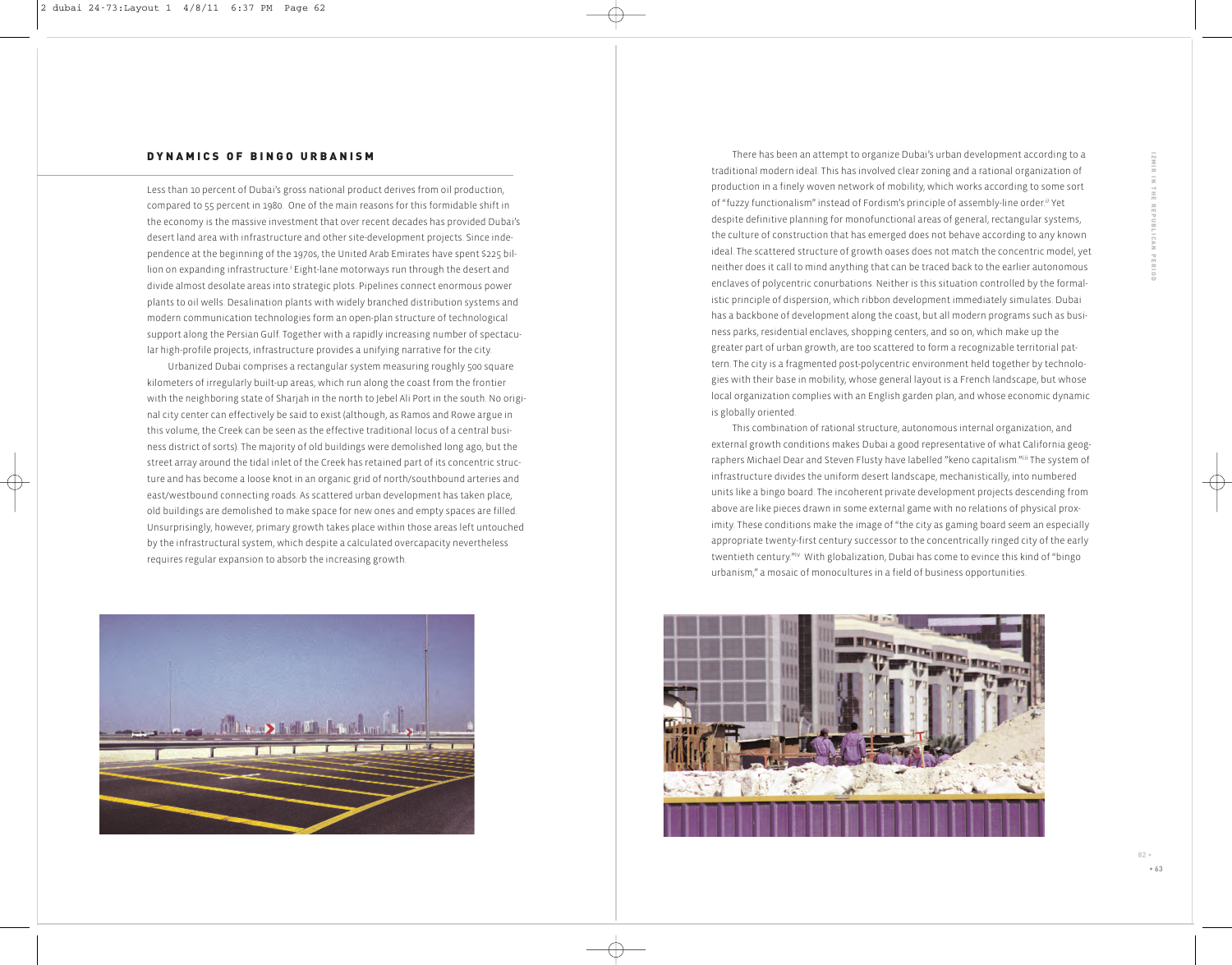#### **DYNAMICS OF BINGO URBANISM**

Less than 10 percent of Dubai's gross national product derives from oil production, compared to 55 percent in 1980. One of the main reasons for this formidable shift in the economy is the massive investment that over recent decades has provided Dubai's desert land area with infrastructure and other site-development projects. Since independence at the beginning of the 1970s, the United Arab Emirates have spent \$225 billion on expanding infrastructure.<sup>i</sup> Eight-lane motorways run through the desert and divide almost desolate areas into strategic plots. Pipelines connect enormous power plants to oil wells. Desalination plants with widely branched distribution systems and modern communication technologies form an open-plan structure of technological support along the Persian Gulf. Together with a rapidly increasing number of spectacular high-profile projects, infrastructure provides a unifying narrative for the city.

Urbanized Dubai comprises a rectangular system measuring roughly 500 square kilometers of irregularly built-up areas, which run along the coast from the frontier with the neighboring state of Sharjah in the north to Jebel Ali Port in the south. No original city center can effectively be said to exist (although, as Ramos and Rowe argue in this volume, the Creek can be seen as the effective traditional locus of a central business district of sorts). The majority of old buildings were demolished long ago, but the street array around the tidal inlet of the Creek has retained part of its concentric structure and has become a loose knot in an organic grid of north/southbound arteries and east/westbound connecting roads. As scattered urban development has taken place, old buildings are demolished to make space for new ones and empty spaces are filled. Unsurprisingly, however, primary growth takes place within those areas left untouched by the infrastructural system, which despite a calculated overcapacity nevertheless requires regular expansion to absorb the increasing growth.



There has been an attempt to organize Dubai's urban development according to a traditional modern ideal. This has involved clear zoning and a rational organization of production in a finely woven network of mobility, which works according to some sort of "fuzzy functionalism" instead of Fordism's principle of assembly-line order.*ii* Yet despite definitive planning for monofunctional areas of general, rectangular systems, the culture of construction that has emerged does not behave according to any known ideal. The scattered structure of growth oases does not match the concentric model, yet neither does it call to mind anything that can be traced back to the earlier autonomous enclaves of polycentric conurbations. Neither is this situation controlled by the formalistic principle of dispersion, which ribbon development immediately simulates. Dubai has a backbone of development along the coast, but all modern programs such as business parks, residential enclaves, shopping centers, and so on, which make up the greater part of urban growth, are too scattered to form a recognizable territorial pattern. The city is a fragmented post-polycentric environment held together by technologies with their base in mobility, whose general layout is a French landscape, but whose local organization complies with an English garden plan, and whose economic dynamic is globally oriented.

This combination of rational structure, autonomous internal organization, and external growth conditions makes Dubai a good representative of what California geographers Michael Dear and Steven Flusty have labelled "keno capitalism."iii The system of infrastructure divides the uniform desert landscape, mechanistically, into numbered units like a bingo board. The incoherent private development projects descending from above are like pieces drawn in some external game with no relations of physical proximity. These conditions make the image of "the city as gaming board seem an especially appropriate twenty-first century successor to the concentrically ringed city of the early twentieth century."iv With globalization, Dubai has come to evince this kind of "bingo urbanism," a mosaic of monocultures in a field of business opportunities.

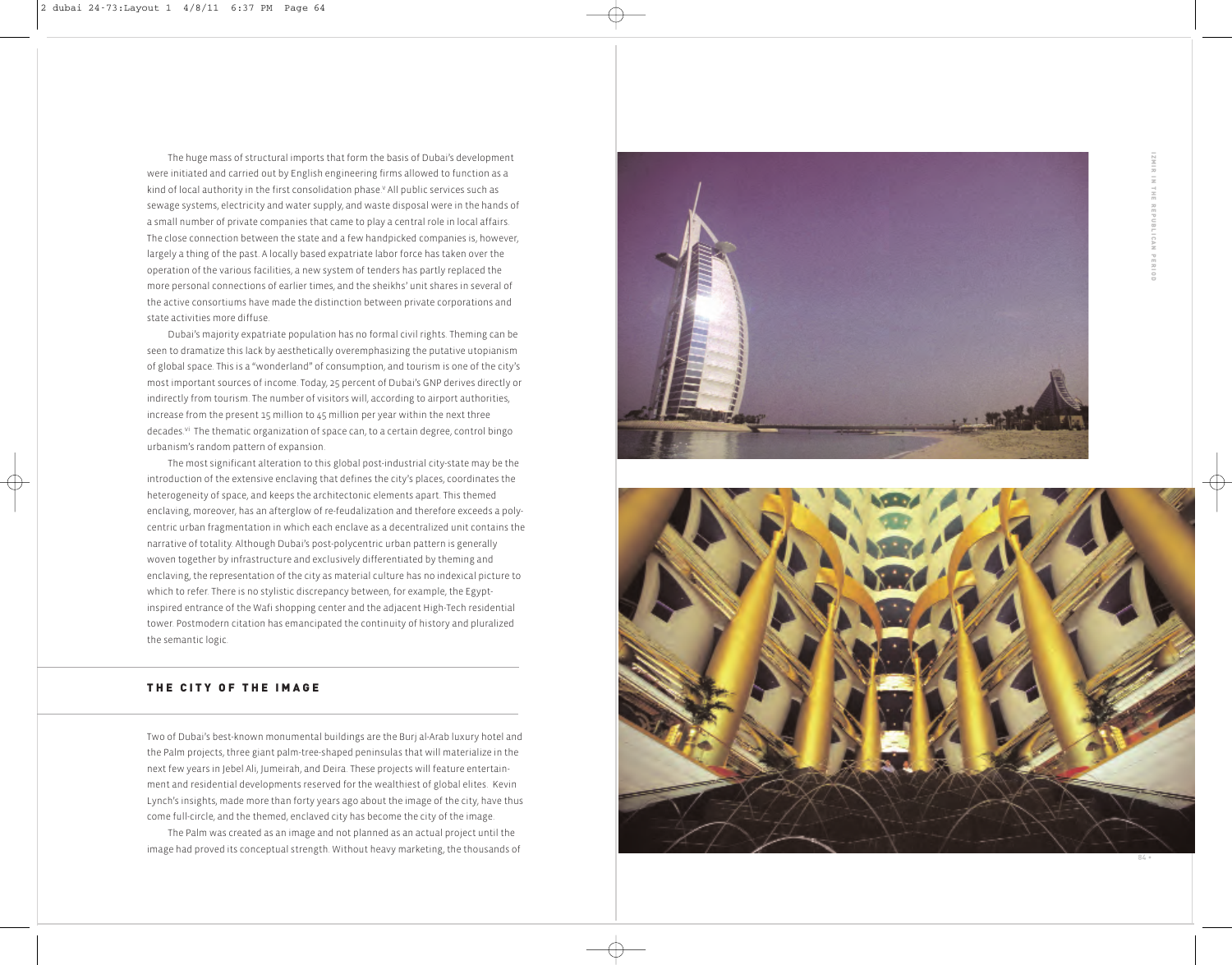The huge mass of structural imports that form the basis of Dubai's development were initiated and carried out by English engineering firms allowed to function as a kind of local authority in the first consolidation phase.<sup>v</sup> All public services such as sewage systems, electricity and water supply, and waste disposal were in the hands of a small number of private companies that came to play a central role in local affairs. The close connection between the state and a few handpicked companies is, however, largely a thing of the past. A locally based expatriate labor force has taken over the operation of the various facilities, a new system of tenders has partly replaced the more personal connections of earlier times, and the sheikhs' unit shares in several of the active consortiums have made the distinction between private corporations and state activities more diffuse.

Dubai's majority expatriate population has no formal civil rights. Theming can be seen to dramatize this lack by aesthetically overemphasizing the putative utopianism of global space. This is a "wonderland" of consumption, and tourism is one of the city's most important sources of income. Today, 25 percent of Dubai's GNP derives directly or indirectly from tourism. The number of visitors will, according to airport authorities, increase from the present 15 million to 45 million per year within the next three decades.<sup>vi</sup> The thematic organization of space can, to a certain degree, control bingo urbanism's random pattern of expansion.

The most significant alteration to this global post-industrial city-state may be the introduction of the extensive enclaving that defines the city's places, coordinates the heterogeneity of space, and keeps the architectonic elements apart. This themed enclaving, moreover, has an afterglow of re-feudalization and therefore exceeds a polycentric urban fragmentation in which each enclave as a decentralized unit contains the narrative of totality. Although Dubai's post-polycentric urban pattern is generally woven together by infrastructure and exclusively differentiated by theming and enclaving, the representation of the city as material culture has no indexical picture to which to refer. There is no stylistic discrepancy between, for example, the Egyptinspired entrance of the Wafi shopping center and the adjacent High-Tech residential tower. Postmodern citation has emancipated the continuity of history and pluralized the semantic logic.

# **THE CITY OF THE IMAGE**

Two of Dubai's best-known monumental buildings are the Burj al-Arab luxury hotel and the Palm projects, three giant palm-tree-shaped peninsulas that will materialize in the next few years in Jebel Ali, Jumeirah, and Deira. These projects will feature entertainment and residential developments reserved for the wealthiest of global elites. Kevin Lynch's insights, made more than forty years ago about the image of the city, have thus come full-circle, and the themed, enclaved city has become the city of the image.

The Palm was created as an image and not planned as an actual project until the image had proved its conceptual strength. Without heavy marketing, the thousands of



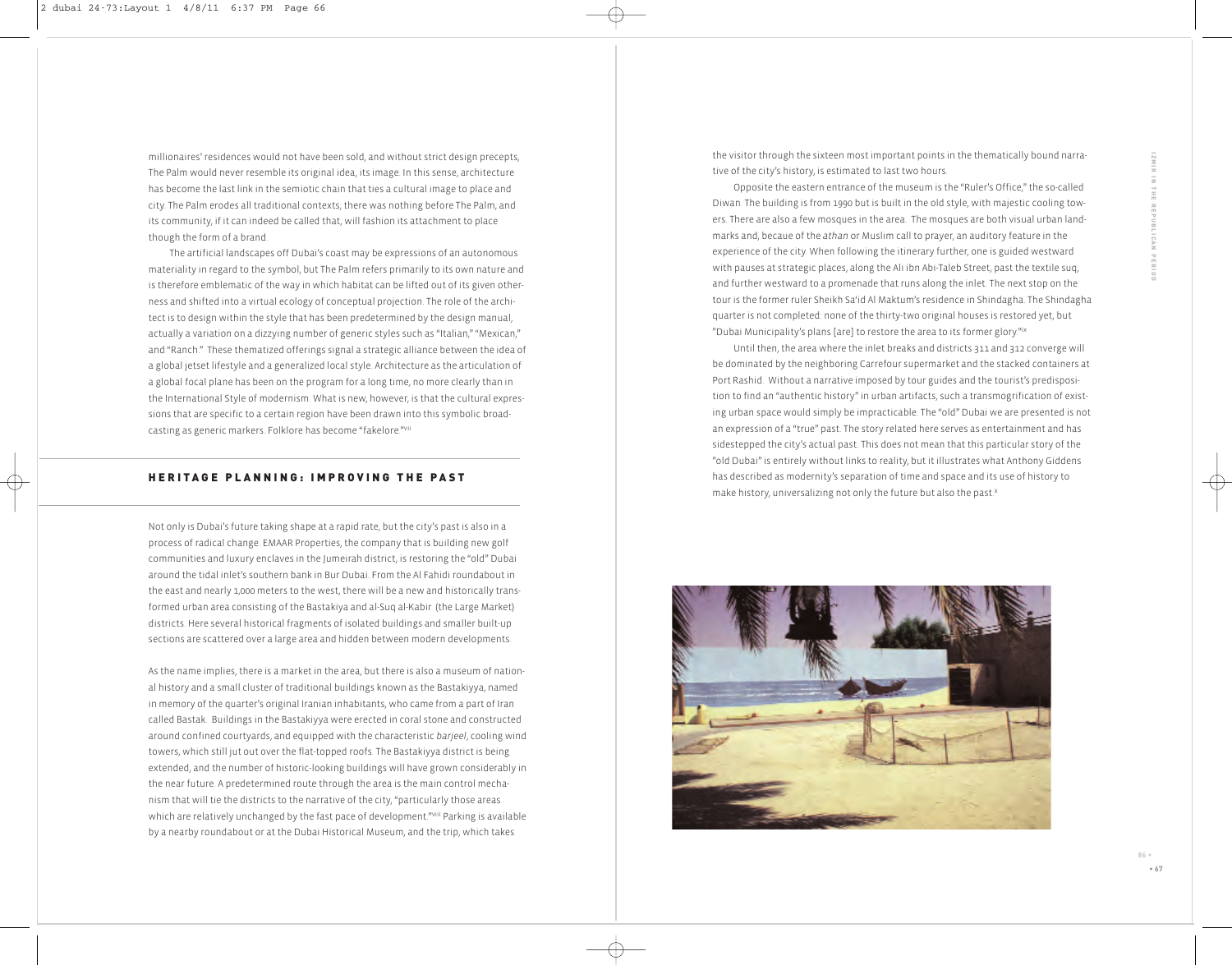millionaires' residences would not have been sold, and without strict design precepts, The Palm would never resemble its original idea, its image. In this sense, architecture has become the last link in the semiotic chain that ties a cultural image to place and city. The Palm erodes all traditional contexts; there was nothing before The Palm, and its community, if it can indeed be called that, will fashion its attachment to place though the form of a brand.

The artificial landscapes off Dubai's coast may be expressions of an autonomous materiality in regard to the symbol, but The Palm refers primarily to its own nature and is therefore emblematic of the way in which habitat can be lifted out of its given otherness and shifted into a virtual ecology of conceptual projection. The role of the architect is to design within the style that has been predetermined by the design manual, actually a variation on a dizzying number of generic styles such as "Italian," "Mexican," and "Ranch." These thematized offerings signal a strategic alliance between the idea of a global jetset lifestyle and a generalized local style. Architecture as the articulation of a global focal plane has been on the program for a long time, no more clearly than in the International Style of modernism. What is new, however, is that the cultural expressions that are specific to a certain region have been drawn into this symbolic broadcasting as generic markers. Folklore has become "fakelore."vii

### **H E R I T A G E P L A N N I N G : I M P R O V I N G T H E P A S T**

Not only is Dubai's future taking shape at a rapid rate, but the city's past is also in a process of radical change. EMAAR Properties, the company that is building new golf communities and luxury enclaves in the Jumeirah district, is restoring the "old" Dubai around the tidal inlet's southern bank in Bur Dubai. From the Al Fahidi roundabout in the east and nearly 1,000 meters to the west, there will be a new and historically transformed urban area consisting of the Bastakiya and al-Suq al-Kabir (the Large Market) districts. Here several historical fragments of isolated buildings and smaller built-up sections are scattered over a large area and hidden between modern developments.

As the name implies, there is a market in the area, but there is also a museum of national history and a small cluster of traditional buildings known as the Bastakiyya, named in memory of the quarter's original Iranian inhabitants, who came from a part of Iran called Bastak. Buildings in the Bastakiyya were erected in coral stone and constructed around confined courtyards, and equipped with the characteristic *barjeel*, cooling wind towers, which still jut out over the flat-topped roofs. The Bastakiyya district is being extended, and the number of historic-looking buildings will have grown considerably in the near future. A predetermined route through the area is the main control mechanism that will tie the districts to the narrative of the city, "particularly those areas which are relatively unchanged by the fast pace of development."Viii Parking is available by a nearby roundabout or at the Dubai Historical Museum, and the trip, which takes

the visitor through the sixteen most important points in the thematically bound narrative of the city's history, is estimated to last two hours.

Opposite the eastern entrance of the museum is the "Ruler's Office," the so-called Diwan. The building is from 1990 but is built in the old style, with majestic cooling towers. There are also a few mosques in the area. The mosques are both visual urban landmarks and, becaue of the *athan* or Muslim call to prayer, an auditory feature in the experience of the city. When following the itinerary further, one is guided westward with pauses at strategic places, along the Ali ibn Abi-Taleb Street, past the textile suq, and further westward to a promenade that runs along the inlet. The next stop on the tour is the former ruler Sheikh Sa'id Al Maktum's residence in Shindagha. The Shindagha quarter is not completed: none of the thirty-two original houses is restored yet, but "Dubai Municipality's plans [are] to restore the area to its former glory."ix

Until then, the area where the inlet breaks and districts 311 and 312 converge will be dominated by the neighboring Carrefour supermarket and the stacked containers at Port Rashid. Without a narrative imposed by tour guides and the tourist's predisposition to find an "authentic history" in urban artifacts, such a transmogrification of existing urban space would simply be impracticable. The "old" Dubai we are presented is not an expression of a "true" past. The story related here serves as entertainment and has sidestepped the city's actual past. This does not mean that this particular story of the "old Dubai" is entirely without links to reality, but it illustrates what Anthony Giddens has described as modernity's separation of time and space and its use of history to make history, universalizing not only the future but also the past.<sup>x</sup>

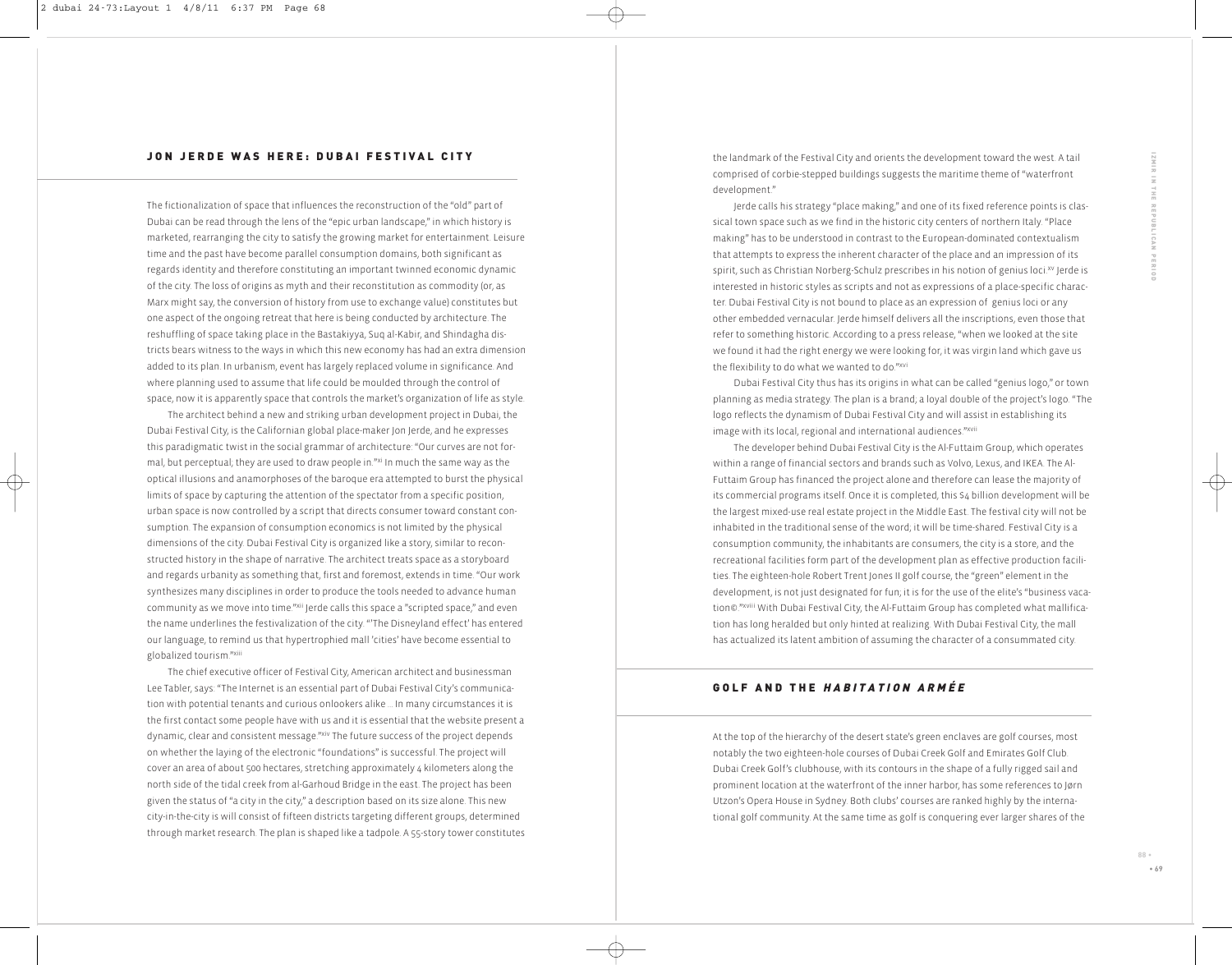#### **JON JERDE WAS HERE: DUBAI FESTIVAL CITY**

The fictionalization of space that influences the reconstruction of the "old" part of Dubai can be read through the lens of the "epic urban landscape," in which history is marketed, rearranging the city to satisfy the growing market for entertainment. Leisure time and the past have become parallel consumption domains, both significant as regards identity and therefore constituting an important twinned economic dynamic of the city. The loss of origins as myth and their reconstitution as commodity (or, as Marx might say, the conversion of history from use to exchange value) constitutes but one aspect of the ongoing retreat that here is being conducted by architecture. The reshuffling of space taking place in the Bastakiyya, Suq al-Kabir, and Shindagha districts bears witness to the ways in which this new economy has had an extra dimension added to its plan. In urbanism, event has largely replaced volume in significance. And where planning used to assume that life could be moulded through the control of space, now it is apparently space that controls the market's organization of life as style.

The architect behind a new and striking urban development project in Dubai, the Dubai Festival City, is the Californian global place-maker Jon Jerde, and he expresses this paradigmatic twist in the social grammar of architecture: "Our curves are not formal, but perceptual; they are used to draw people in*.*"xi In much the same way as the optical illusions and anamorphoses of the baroque era attempted to burst the physical limits of space by capturing the attention of the spectator from a specific position, urban space is now controlled by a script that directs consumer toward constant consumption. The expansion of consumption economics is not limited by the physical dimensions of the city. Dubai Festival City is organized like a story, similar to reconstructed history in the shape of narrative. The architect treats space as a storyboard and regards urbanity as something that, first and foremost, extends in time. "Our work synthesizes many disciplines in order to produce the tools needed to advance human community as we move into time."<sup>xii</sup> Jerde calls this space a "scripted space," and even the name underlines the festivalization of the city. "'The Disneyland effect' has entered our language, to remind us that hypertrophied mall 'cities' have become essential to globalized tourism."xiii

The chief executive officer of Festival City, American architect and businessman Lee Tabler, says: "The Internet is an essential part of Dubai Festival City's communication with potential tenants and curious onlookers alike … In many circumstances it is the first contact some people have with us and it is essential that the website present a dynamic, clear and consistent message."xiv The future success of the project depends on whether the laying of the electronic "foundations" is successful. The project will cover an area of about 500 hectares, stretching approximately 4 kilometers along the north side of the tidal creek from al-Garhoud Bridge in the east. The project has been given the status of "a city in the city," a description based on its size alone. This new city-in-the-city is will consist of fifteen districts targeting different groups, determined through market research. The plan is shaped like a tadpole. A 55-story tower constitutes the landmark of the Festival City and orients the development toward the west. A tail comprised of corbie-stepped buildings suggests the maritime theme of "waterfront development."

Jerde calls his strategy "place making," and one of its fixed reference points is classical town space such as we find in the historic city centers of northern Italy. "Place making" has to be understood in contrast to the European-dominated contextualism that attempts to express the inherent character of the place and an impression of its spirit, such as Christian Norberg-Schulz prescribes in his notion of genius loci.<sup>xv</sup> Jerde is interested in historic styles as scripts and not as expressions of a place-specific character. Dubai Festival City is not bound to place as an expression of genius loci or any other embedded vernacular. Jerde himself delivers all the inscriptions, even those that refer to something historic. According to a press release, "when we looked at the site we found it had the right energy we were looking for, it was virgin land which gave us the flexibility to do what we wanted to do."xvi

Dubai Festival City thus has its origins in what can be called "genius logo," or town planning as media strategy. The plan is a brand; a loyal double of the project's logo. "The logo reflects the dynamism of Dubai Festival City and will assist in establishing its image with its local, regional and international audiences."<sup>xvii</sup>

The developer behind Dubai Festival City is the Al-Futtaim Group, which operates within a range of financial sectors and brands such as Volvo, Lexus, and IKEA. The Al-Futtaim Group has financed the project alone and therefore can lease the majority of its commercial programs itself. Once it is completed, this \$4 billion development will be the largest mixed-use real estate project in the Middle East. The festival city will not be inhabited in the traditional sense of the word; it will be time-shared. Festival City is a consumption community, the inhabitants are consumers, the city is a store, and the recreational facilities form part of the development plan as effective production facilities. The eighteen-hole Robert Trent Jones II golf course, the "green" element in the development, is not just designated for fun; it is for the use of the elite's "business vacation©."xviii With Dubai Festival City, the Al-Futtaim Group has completed what mallification has long heralded but only hinted at realizing. With Dubai Festival City, the mall has actualized its latent ambition of assuming the character of a consummated city.

# GOLF AND THE HABITATION ARMÉE

At the top of the hierarchy of the desert state's green enclaves are golf courses, most notably the two eighteen-hole courses of Dubai Creek Golf and Emirates Golf Club. Dubai Creek Golf's clubhouse, with its contours in the shape of a fully rigged sail and prominent location at the waterfront of the inner harbor, has some references to Jørn Utzon's Opera House in Sydney. Both clubs' courses are ranked highly by the international golf community. At the same time as golf is conquering ever larger shares of the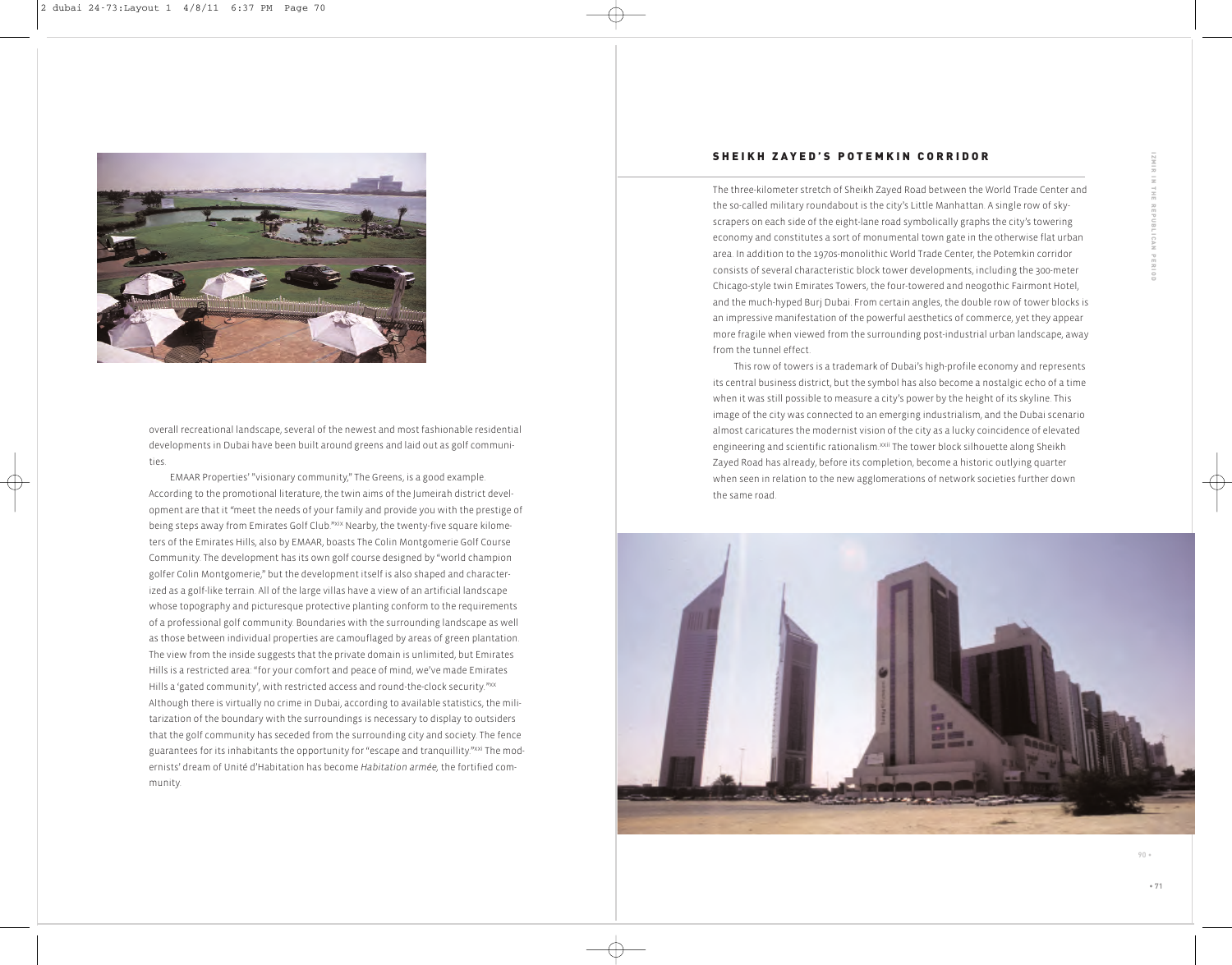

overall recreational landscape, several of the newest and most fashionable residential developments in Dubai have been built around greens and laid out as golf communities.

EMAAR Properties' "visionary community," The Greens, is a good example. According to the promotional literature, the twin aims of the Jumeirah district development are that it *"*meet the needs of your family and provide you with the prestige of being steps away from Emirates Golf Club."<sup>xix</sup> Nearby, the twenty-five square kilometers of the Emirates Hills, also by EMAAR, boasts The Colin Montgomerie Golf Course Community. The development has its own golf course designed by "world champion golfer Colin Montgomerie," but the development itself is also shaped and characterized as a golf-like terrain. All of the large villas have a view of an artificial landscape whose topography and picturesque protective planting conform to the requirements of a professional golf community. Boundaries with the surrounding landscape as well as those between individual properties are camouflaged by areas of green plantation. The view from the inside suggests that the private domain is unlimited, but Emirates Hills is a restricted area: "for your comfort and peace of mind, we've made Emirates Hills a 'gated community', with restricted access and round-the-clock security*.*"xx Although there is virtually no crime in Dubai, according to available statistics, the militarization of the boundary with the surroundings is necessary to display to outsiders that the golf community has seceded from the surrounding city and society. The fence guarantees for its inhabitants the opportunity for "escape and tranquillity."<sup>xxi</sup> The modernists' dream of Unité d'Habitation has become *Habitation armée,* the fortified community.

# **SHEIKH ZAYED'S POTEMKIN CORRIDOR**

The three-kilometer stretch of Sheikh Zayed Road between the World Trade Center and the so-called military roundabout is the city's Little Manhattan. A single row of skyscrapers on each side of the eight-lane road symbolically graphs the city's towering economy and constitutes a sort of monumental town gate in the otherwise flat urban area. In addition to the 1970s-monolithic World Trade Center, the Potemkin corridor consists of several characteristic block tower developments, including the 300-meter Chicago-style twin Emirates Towers, the four-towered and neogothic Fairmont Hotel, and the much-hyped Burj Dubai. From certain angles, the double row of tower blocks is an impressive manifestation of the powerful aesthetics of commerce, yet they appear more fragile when viewed from the surrounding post-industrial urban landscape, away from the tunnel effect.

This row of towers is a trademark of Dubai's high-profile economy and represents its central business district, but the symbol has also become a nostalgic echo of a time when it was still possible to measure a city's power by the height of its skyline. This image of the city was connected to an emerging industrialism, and the Dubai scenario almost caricatures the modernist vision of the city as a lucky coincidence of elevated engineering and scientific rationalism.<sup>xxii</sup> The tower block silhouette along Sheikh Zayed Road has already, before its completion, become a historic outlying quarter when seen in relation to the new agglomerations of network societies further down the same road.